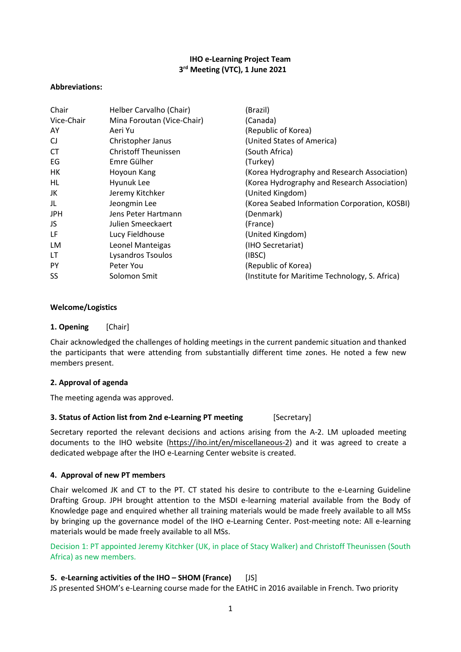# **IHO e-Learning Project Team 3rd Meeting (VTC), 1 June 2021**

#### **Abbreviations:**

| Chair      | Helber Carvalho (Chair)     | (Brazil)                                       |
|------------|-----------------------------|------------------------------------------------|
| Vice-Chair | Mina Foroutan (Vice-Chair)  | (Canada)                                       |
| AY         | Aeri Yu                     | (Republic of Korea)                            |
| CJ         | Christopher Janus           | (United States of America)                     |
| <b>CT</b>  | <b>Christoff Theunissen</b> | (South Africa)                                 |
| EG         | Emre Gülher                 | (Turkey)                                       |
| HК         | Hoyoun Kang                 | (Korea Hydrography and Research Association)   |
| HL         | Hyunuk Lee                  | (Korea Hydrography and Research Association)   |
| JK         | Jeremy Kitchker             | (United Kingdom)                               |
| JL         | Jeongmin Lee                | (Korea Seabed Information Corporation, KOSBI)  |
| <b>JPH</b> | Jens Peter Hartmann         | (Denmark)                                      |
| JS.        | Julien Smeeckaert           | (France)                                       |
| LF         | Lucy Fieldhouse             | (United Kingdom)                               |
| LM         | Leonel Manteigas            | (IHO Secretariat)                              |
| LT         | Lysandros Tsoulos           | (IBSC)                                         |
| PY         | Peter You                   | (Republic of Korea)                            |
| SS         | Solomon Smit                | (Institute for Maritime Technology, S. Africa) |

#### **Welcome/Logistics**

**1. Opening** [Chair]

Chair acknowledged the challenges of holding meetings in the current pandemic situation and thanked the participants that were attending from substantially different time zones. He noted a few new members present.

#### **2. Approval of agenda**

The meeting agenda was approved.

#### **3. Status of Action list from 2nd e-Learning PT meeting** [Secretary]

Secretary reported the relevant decisions and actions arising from the A-2. LM uploaded meeting documents to the IHO website [\(https://iho.int/en/miscellaneous-2\)](https://iho.int/en/miscellaneous-2) and it was agreed to create a dedicated webpage after the IHO e-Learning Center website is created.

# **4. Approval of new PT members**

Chair welcomed JK and CT to the PT. CT stated his desire to contribute to the e-Learning Guideline Drafting Group. JPH brought attention to the MSDI e-learning material available from the Body of Knowledge page and enquired whether all training materials would be made freely available to all MSs by bringing up the governance model of the IHO e-Learning Center. Post-meeting note: All e-learning materials would be made freely available to all MSs.

Decision 1: PT appointed Jeremy Kitchker (UK, in place of Stacy Walker) and Christoff Theunissen (South Africa) as new members.

# **5. e-Learning activities of the IHO – SHOM (France)** [JS]

JS presented SHOM's e-Learning course made for the EAtHC in 2016 available in French. Two priority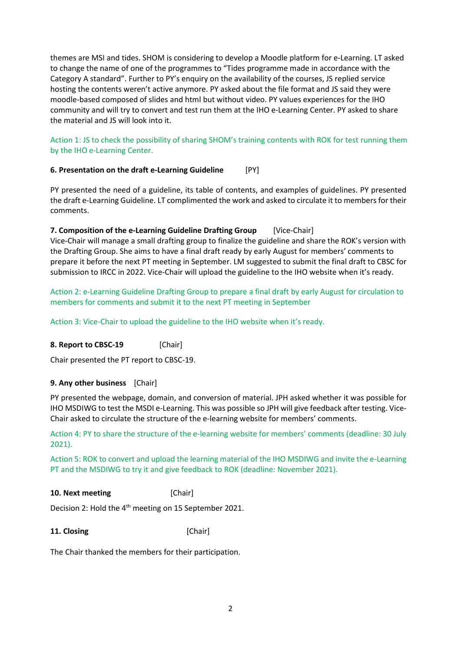themes are MSI and tides. SHOM is considering to develop a Moodle platform for e-Learning. LT asked to change the name of one of the programmes to "Tides programme made in accordance with the Category A standard". Further to PY's enquiry on the availability of the courses, JS replied service hosting the contents weren't active anymore. PY asked about the file format and JS said they were moodle-based composed of slides and html but without video. PY values experiences for the IHO community and will try to convert and test run them at the IHO e-Learning Center. PY asked to share the material and JS will look into it.

# Action 1: JS to check the possibility of sharing SHOM's training contents with ROK for test running them by the IHO e-Learning Center.

# **6. Presentation on the draft e-Learning Guideline** [PY]

PY presented the need of a guideline, its table of contents, and examples of guidelines. PY presented the draft e-Learning Guideline. LT complimented the work and asked to circulate it to members for their comments.

## **7. Composition of the e-Learning Guideline Drafting Group** [Vice-Chair]

Vice-Chair will manage a small drafting group to finalize the guideline and share the ROK's version with the Drafting Group. She aims to have a final draft ready by early August for members' comments to prepare it before the next PT meeting in September. LM suggested to submit the final draft to CBSC for submission to IRCC in 2022. Vice-Chair will upload the guideline to the IHO website when it's ready.

Action 2: e-Learning Guideline Drafting Group to prepare a final draft by early August for circulation to members for comments and submit it to the next PT meeting in September

Action 3: Vice-Chair to upload the guideline to the IHO website when it's ready.

**8. Report to CBSC-19** [Chair]

Chair presented the PT report to CBSC-19.

#### **9. Any other business** [Chair]

PY presented the webpage, domain, and conversion of material. JPH asked whether it was possible for IHO MSDIWG to test the MSDI e-Learning. This was possible so JPH will give feedback after testing. Vice-Chair asked to circulate the structure of the e-learning website for members' comments.

Action 4: PY to share the structure of the e-learning website for members' comments (deadline: 30 July 2021).

Action 5: ROK to convert and upload the learning material of the IHO MSDIWG and invite the e-Learning PT and the MSDIWG to try it and give feedback to ROK (deadline: November 2021).

#### **10. Next meeting** [Chair]

Decision 2: Hold the 4<sup>th</sup> meeting on 15 September 2021.

# **11. Closing** [Chair]

The Chair thanked the members for their participation.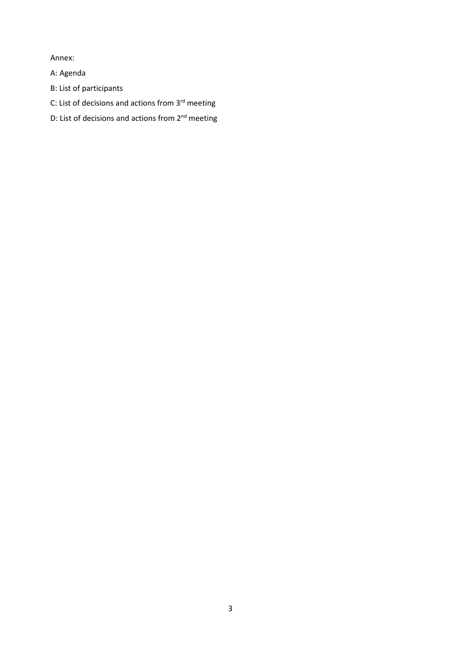Annex:

A: Agenda

- B: List of participants
- C: List of decisions and actions from 3<sup>rd</sup> meeting
- D: List of decisions and actions from 2<sup>nd</sup> meeting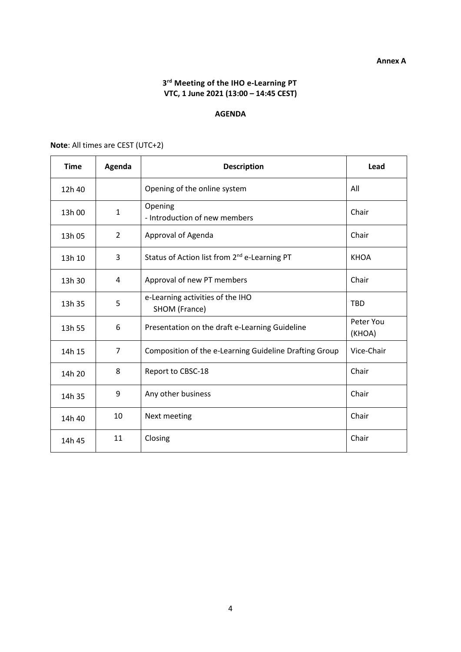# **3rd Meeting of the IHO e-Learning PT VTC, 1 June 2021 (13:00 – 14:45 CEST)**

## **AGENDA**

| <b>Time</b> | Agenda         | <b>Description</b>                                       | Lead                |
|-------------|----------------|----------------------------------------------------------|---------------------|
| 12h 40      |                | Opening of the online system                             | All                 |
| 13h 00      | 1              | Opening<br>- Introduction of new members                 | Chair               |
| 13h 05      | $\overline{2}$ | Approval of Agenda                                       | Chair               |
| 13h 10      | 3              | Status of Action list from 2 <sup>nd</sup> e-Learning PT | <b>KHOA</b>         |
| 13h 30      | 4              | Approval of new PT members                               | Chair               |
| 13h 35      | 5              | e-Learning activities of the IHO<br>SHOM (France)        | <b>TBD</b>          |
| 13h 55      | 6              | Presentation on the draft e-Learning Guideline           | Peter You<br>(KHOA) |
| 14h 15      | 7              | Composition of the e-Learning Guideline Drafting Group   | Vice-Chair          |
| 14h 20      | 8              | Report to CBSC-18                                        | Chair               |
| 14h 35      | 9              | Any other business                                       | Chair               |
| 14h 40      | 10             | Next meeting                                             | Chair               |
| 14h 45      | 11             | Closing                                                  | Chair               |

**Note**: All times are CEST (UTC+2)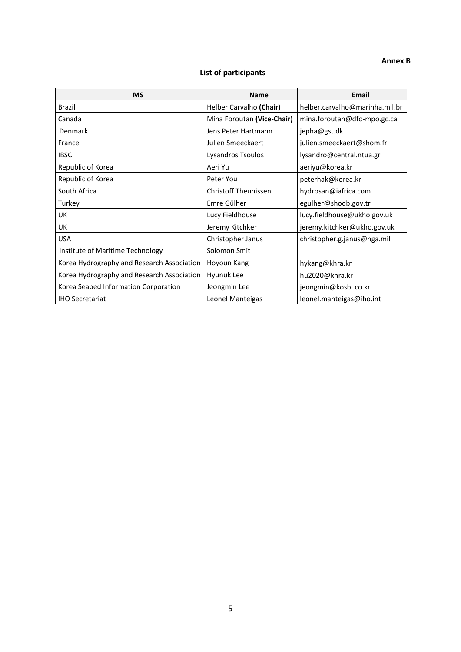## **Annex B**

# **List of participants**

| <b>MS</b>                                  | <b>Name</b>                 | <b>Email</b>                   |
|--------------------------------------------|-----------------------------|--------------------------------|
| <b>Brazil</b>                              | Helber Carvalho (Chair)     | helber.carvalho@marinha.mil.br |
| Canada                                     | Mina Foroutan (Vice-Chair)  | mina.foroutan@dfo-mpo.gc.ca    |
| Denmark                                    | Jens Peter Hartmann         | jepha@gst.dk                   |
| France                                     | Julien Smeeckaert           | julien.smeeckaert@shom.fr      |
| <b>IBSC</b>                                | Lysandros Tsoulos           | lysandro@central.ntua.gr       |
| Republic of Korea                          | Aeri Yu                     | aeriyu@korea.kr                |
| Republic of Korea                          | Peter You                   | peterhak@korea.kr              |
| South Africa                               | <b>Christoff Theunissen</b> | hydrosan@iafrica.com           |
| Turkey                                     | Emre Gülher                 | egulher@shodb.gov.tr           |
| UK                                         | Lucy Fieldhouse             | lucy.fieldhouse@ukho.gov.uk    |
| <b>UK</b>                                  | Jeremy Kitchker             | jeremy.kitchker@ukho.gov.uk    |
| <b>USA</b>                                 | Christopher Janus           | christopher.g.janus@nga.mil    |
| Institute of Maritime Technology           | Solomon Smit                |                                |
| Korea Hydrography and Research Association | Hoyoun Kang                 | hykang@khra.kr                 |
| Korea Hydrography and Research Association | Hyunuk Lee                  | hu2020@khra.kr                 |
| Korea Seabed Information Corporation       | Jeongmin Lee                | jeongmin@kosbi.co.kr           |
| <b>IHO Secretariat</b>                     | Leonel Manteigas            | leonel.manteigas@iho.int       |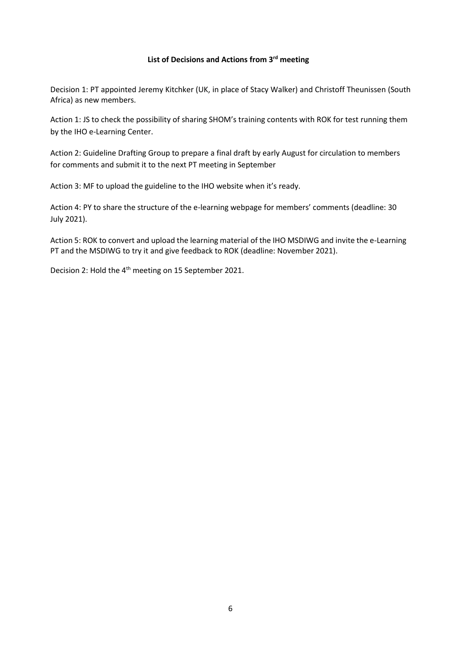## **List of Decisions and Actions from 3rd meeting**

Decision 1: PT appointed Jeremy Kitchker (UK, in place of Stacy Walker) and Christoff Theunissen (South Africa) as new members.

Action 1: JS to check the possibility of sharing SHOM's training contents with ROK for test running them by the IHO e-Learning Center.

Action 2: Guideline Drafting Group to prepare a final draft by early August for circulation to members for comments and submit it to the next PT meeting in September

Action 3: MF to upload the guideline to the IHO website when it's ready.

Action 4: PY to share the structure of the e-learning webpage for members' comments (deadline: 30 July 2021).

Action 5: ROK to convert and upload the learning material of the IHO MSDIWG and invite the e-Learning PT and the MSDIWG to try it and give feedback to ROK (deadline: November 2021).

Decision 2: Hold the 4<sup>th</sup> meeting on 15 September 2021.